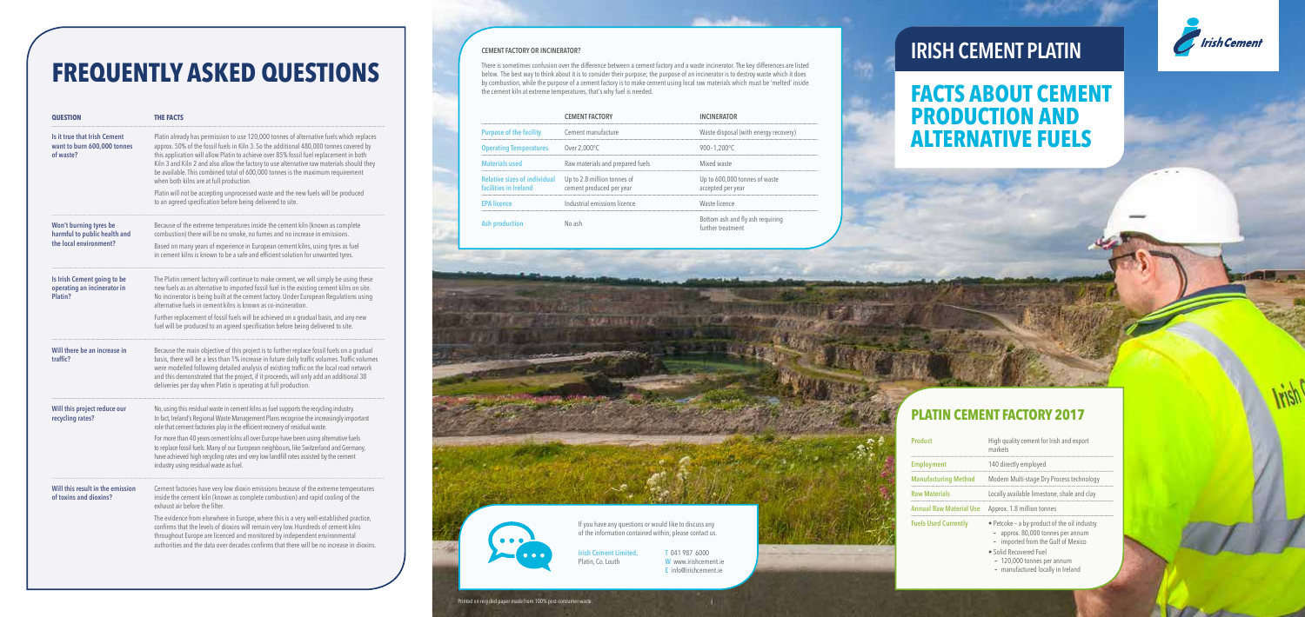# **FREQUENTLY ASKED QUESTIONS**

| QUESTION                                                                         | <b>THE FACTS</b>                                                                                                                                                                                                                                                                                                                                                                                                                                                                                                                                                                                                                                         |
|----------------------------------------------------------------------------------|----------------------------------------------------------------------------------------------------------------------------------------------------------------------------------------------------------------------------------------------------------------------------------------------------------------------------------------------------------------------------------------------------------------------------------------------------------------------------------------------------------------------------------------------------------------------------------------------------------------------------------------------------------|
| Is it true that Irish Cement<br>want to burn 600,000 tonnes<br>of waste?         | Platin already has permission to use 120,000 tonnes of alternative fuels which replaces<br>approx. 50% of the fossil fuels in Kiln 3. So the additional 480,000 tonnes covered by<br>this application will allow Platin to achieve over 85% fossil fuel replacement in both<br>Kiln 3 and Kiln 2 and also allow the factory to use alternative raw materials should they<br>be available. This combined total of 600,000 tonnes is the maximum requirement<br>when both kilns are at full production.<br>Platin will not be accepting unprocessed waste and the new fuels will be produced<br>to an agreed specification before being delivered to site. |
| Won't burning tyres be<br>harmful to public health and<br>the local environment? | Because of the extreme temperatures inside the cement kiln (known as complete<br>combustion) there will be no smoke, no fumes and no increase in emissions.<br>Based on many years of experience in European cement kilns, using tyres as fuel<br>in cement kilns is known to be a safe and efficient solution for unwanted tyres.                                                                                                                                                                                                                                                                                                                       |
| Is Irish Cement going to be<br>operating an incinerator in<br>Platin?            | The Platin cement factory will continue to make cement, we will simply be using these<br>new fuels as an alternative to imported fossil fuel in the existing cement kilns on site.<br>No incinerator is being built at the cement factory. Under European Regulations using<br>alternative fuels in cement kilns is known as co-incineration.<br>Further replacement of fossil fuels will be achieved on a gradual basis, and any new<br>fuel will be produced to an agreed specification before being delivered to site.                                                                                                                                |
| Will there be an increase in<br>traffic?                                         | Because the main objective of this project is to further replace fossil fuels on a gradual<br>basis, there will be a less than 1% increase in future daily traffic volumes. Traffic volumes<br>were modelled following detailed analysis of existing traffic on the local road network<br>and this demonstrated that the project, if it proceeds, will only add an additional 38<br>deliveries per day when Platin is operating at full production.                                                                                                                                                                                                      |
| Will this project reduce our<br>recycling rates?                                 | No, using this residual waste in cement kilns as fuel supports the recycling industry.<br>In fact, Ireland's Regional Waste Management Plans recognise the increasingly important<br>role that cement factories play in the efficient recovery of residual waste.<br>For more than 40 years cement kilns all over Europe have been using alternative fuels<br>to replace fossil fuels. Many of our European neighbours, like Switzerland and Germany,<br>have achieved high recycling rates and very low landfill rates assisted by the cement<br>industry using residual waste as fuel.                                                                 |
| Will this result in the emission<br>of toxins and dioxins?                       | Cement factories have very low dioxin emissions because of the extreme temperatures<br>inside the cement kiln (known as complete combustion) and rapid cooling of the<br>exhaust air before the filter.<br>The evidence from elsewhere in Europe, where this is a very well-established practice,<br>confirms that the levels of dioxins will remain very low. Hundreds of cement kilns<br>throughout Europe are licenced and monitored by independent environmental<br>authorities and the data over decades confirms that there will be no increase in dioxins.                                                                                        |

Bottom ash and fly ash requiring further treatment

### **PLATIN CEMENT FACTORY 2017**

| <b>Product</b>              | High quality cement for Irish and export<br>markets                               |  |
|-----------------------------|-----------------------------------------------------------------------------------|--|
| <b>Employment</b>           | 140 directly employed                                                             |  |
| <b>Manufacturing Method</b> | Modern Multi-stage Dry Process technology                                         |  |
| <b>Raw Materials</b>        | Locally available limestone, shale and clay                                       |  |
|                             | <b>Annual Raw Material Use</b> Approx. 1.8 million tonnes                         |  |
| <b>Fuels Used Currently</b> | • Petcoke – a by-product of the oil industry<br>- approx. 80,000 tonnes per annum |  |

- **–** imported from the Gulf of Mexico
- Solid Recovered Fuel
- **–** 120,000 tonnes per annum
- **–** manufactured locally in Ireland

#### **INCINERATOR**

| Waste disposal (with energy recovery) |
|---------------------------------------|
| $900 - 1.200^{\circ}$ C               |
| Mixed waste                           |
|                                       |

|                                                              | <b>CEMENT FACTORY</b>                                   | <b>INCINERATOR</b>                                 |
|--------------------------------------------------------------|---------------------------------------------------------|----------------------------------------------------|
| <b>Purpose of the facility</b>                               | Cement manufacture                                      | Waste disposal (with energy recovery)              |
| <b>Operating Temperatures</b>                                | Over $2,000^{\circ}$ C                                  | $900 - 1.200^{\circ}$ C                            |
| <b>Materials used</b>                                        | Raw materials and prepared fuels                        | Mixed waste                                        |
| <b>Relative sizes of individual</b><br>facilities in Ireland | Up to 2.8 million tonnes of<br>cement produced per year | Up to 600,000 tonnes of waste<br>accepted per year |
| <b>FPA</b> licence                                           | Industrial emissions licence                            | Waste licence                                      |
| h nyaduréiar                                                 |                                                         | Bottom ash and fly ash requiring                   |

| Ħ |             |   |                   |  |
|---|-------------|---|-------------------|--|
|   |             |   |                   |  |
|   | <b>FOLL</b> |   | <b>RUSTERE</b> 10 |  |
|   |             |   |                   |  |
|   | e ne<br>÷   | è |                   |  |
|   |             |   |                   |  |
|   |             |   |                   |  |
|   |             |   |                   |  |
|   |             |   |                   |  |
|   |             | m |                   |  |

#### **CEMENT FACTORY OR INCINERATOR?**

There is sometimes confusion over the difference between a cement factory and a waste incinerator. The key differences are listed below. The best way to think about it is to consider their purpose; the purpose of an incinerator is to destroy waste which it does by combustion, while the purpose of a cement factory is to make cement using local raw materials which must be 'melted' inside the cement kiln at extreme temperatures, that's why fuel is needed.

## **IRISH CEMENT PLATIN**





If you have any questions or would like to discuss any of the information contained within, please contact us.

> **T** 041 987 6000 **W** www.irishcement.ie **E** info@irishcement.ie

**Irish Cement Limited,** Platin, Co. Louth